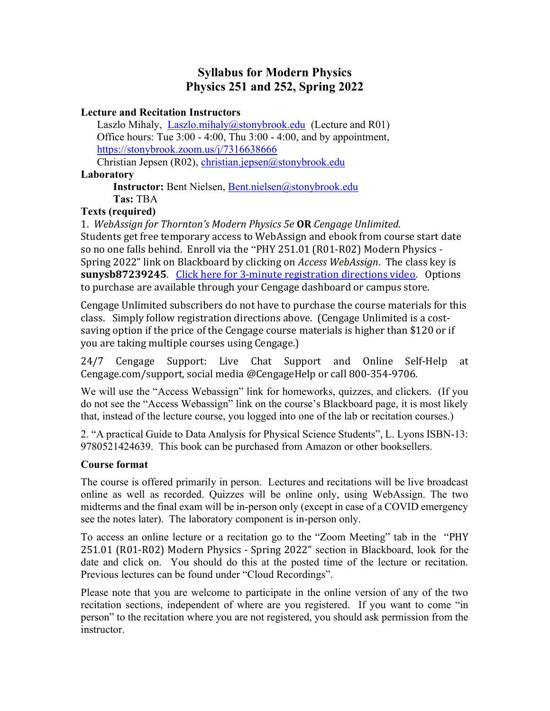# Syllabus for Modern Physics Physics 251 and 252, Spring 2022

#### Lecture and Recitation Instructors

Laszlo Mihaly, Laszlo.mihaly@stonybrook.edu (Lecture and R01) Office hours: Tue 3:00 - 4:00, Thu 3:00 - 4:00, and by appointment, https://stonybrook.zoom.us/j/7316638666

Christian Jepsen (R02), christian.jepsen@stonybrook.edu Laboratory

> Instructor: Bent Nielsen, Bent.nielsen@stonybrook.edu Tas: TBA

#### Texts (required)

1. WebAssign for Thornton's Modern Physics 5e OR Cengage Unlimited. Students get free temporary access to WebAssign and ebook from course start date so no one falls behind. Enroll via the "PHY 251.01 (R01-R02) Modern Physics - Spring 2022" link on Blackboard by clicking on Access WebAssign. The class key is sunysb87239245. Click here for 3-minute registration directions video. Options to purchase are available through your Cengage dashboard or campus store.

Cengage Unlimited subscribers do not have to purchase the course materials for this class. Simply follow registration directions above. (Cengage Unlimited is a costsaving option if the price of the Cengage course materials is higher than \$120 or if you are taking multiple courses using Cengage.)

24/7 Cengage Support: Live Chat Support and Online Self-Help at Cengage.com/support, social media @CengageHelp or call 800-354-9706.

We will use the "Access Webassign" link for homeworks, quizzes, and clickers. (If you do not see the "Access Webassign" link on the course's Blackboard page, it is most likely that, instead of the lecture course, you logged into one of the lab or recitation courses.)

2. "A practical Guide to Data Analysis for Physical Science Students", L. Lyons ISBN-13: 9780521424639. This book can be purchased from Amazon or other booksellers.

### Course format

The course is offered primarily in person. Lectures and recitations will be live broadcast online as well as recorded. Quizzes will be online only, using WebAssign. The two midterms and the final exam will be in-person only (except in case of a COVID emergency see the notes later). The laboratory component is in-person only.

To access an online lecture or a recitation go to the "Zoom Meeting" tab in the "PHY 251.01 (R01-R02) Modern Physics - Spring 2022" section in Blackboard, look for the date and click on. You should do this at the posted time of the lecture or recitation. Previous lectures can be found under "Cloud Recordings".

Please note that you are welcome to participate in the online version of any of the two recitation sections, independent of where are you registered. If you want to come "in person" to the recitation where you are not registered, you should ask permission from the instructor.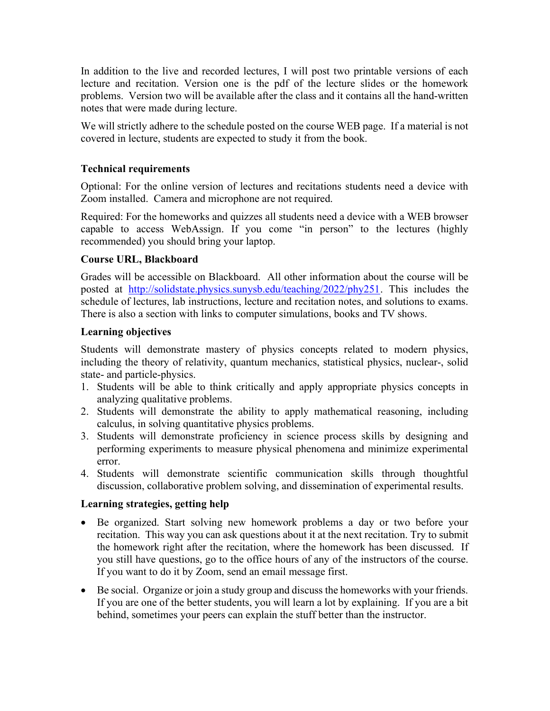In addition to the live and recorded lectures, I will post two printable versions of each lecture and recitation. Version one is the pdf of the lecture slides or the homework problems. Version two will be available after the class and it contains all the hand-written notes that were made during lecture.

We will strictly adhere to the schedule posted on the course WEB page. If a material is not covered in lecture, students are expected to study it from the book.

## Technical requirements

Optional: For the online version of lectures and recitations students need a device with Zoom installed. Camera and microphone are not required.

Required: For the homeworks and quizzes all students need a device with a WEB browser capable to access WebAssign. If you come "in person" to the lectures (highly recommended) you should bring your laptop.

# Course URL, Blackboard

Grades will be accessible on Blackboard. All other information about the course will be posted at http://solidstate.physics.sunysb.edu/teaching/2022/phy251. This includes the schedule of lectures, lab instructions, lecture and recitation notes, and solutions to exams. There is also a section with links to computer simulations, books and TV shows.

# Learning objectives

Students will demonstrate mastery of physics concepts related to modern physics, including the theory of relativity, quantum mechanics, statistical physics, nuclear-, solid state- and particle-physics.

- 1. Students will be able to think critically and apply appropriate physics concepts in analyzing qualitative problems.
- 2. Students will demonstrate the ability to apply mathematical reasoning, including calculus, in solving quantitative physics problems.
- 3. Students will demonstrate proficiency in science process skills by designing and performing experiments to measure physical phenomena and minimize experimental error.
- 4. Students will demonstrate scientific communication skills through thoughtful discussion, collaborative problem solving, and dissemination of experimental results.

### Learning strategies, getting help

- Be organized. Start solving new homework problems a day or two before your recitation. This way you can ask questions about it at the next recitation. Try to submit the homework right after the recitation, where the homework has been discussed. If you still have questions, go to the office hours of any of the instructors of the course. If you want to do it by Zoom, send an email message first.
- Be social. Organize or join a study group and discuss the homeworks with your friends. If you are one of the better students, you will learn a lot by explaining. If you are a bit behind, sometimes your peers can explain the stuff better than the instructor.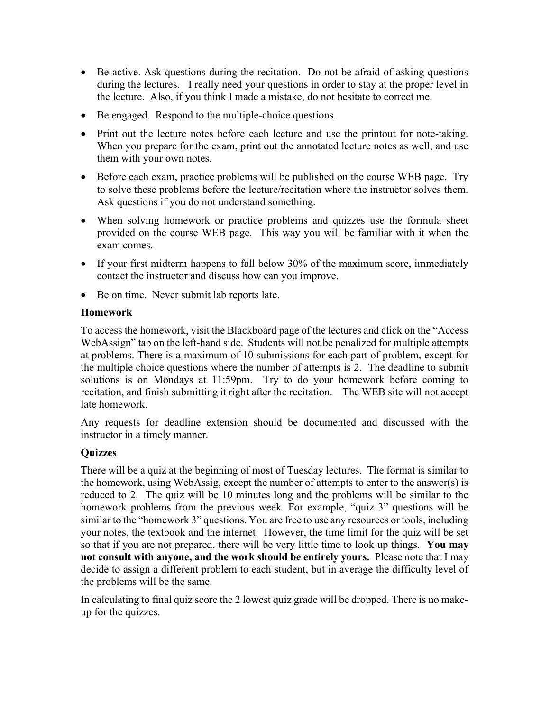- Be active. Ask questions during the recitation. Do not be afraid of asking questions during the lectures. I really need your questions in order to stay at the proper level in the lecture. Also, if you think I made a mistake, do not hesitate to correct me.
- Be engaged. Respond to the multiple-choice questions.
- Print out the lecture notes before each lecture and use the printout for note-taking. When you prepare for the exam, print out the annotated lecture notes as well, and use them with your own notes.
- Before each exam, practice problems will be published on the course WEB page. Try to solve these problems before the lecture/recitation where the instructor solves them. Ask questions if you do not understand something.
- When solving homework or practice problems and quizzes use the formula sheet provided on the course WEB page. This way you will be familiar with it when the exam comes.
- If your first midterm happens to fall below 30% of the maximum score, immediately contact the instructor and discuss how can you improve.
- Be on time. Never submit lab reports late.

#### Homework

To access the homework, visit the Blackboard page of the lectures and click on the "Access WebAssign" tab on the left-hand side. Students will not be penalized for multiple attempts at problems. There is a maximum of 10 submissions for each part of problem, except for the multiple choice questions where the number of attempts is 2. The deadline to submit solutions is on Mondays at 11:59pm. Try to do your homework before coming to recitation, and finish submitting it right after the recitation. The WEB site will not accept late homework.

Any requests for deadline extension should be documented and discussed with the instructor in a timely manner.

### **Ouizzes**

There will be a quiz at the beginning of most of Tuesday lectures. The format is similar to the homework, using WebAssig, except the number of attempts to enter to the answer(s) is reduced to 2. The quiz will be 10 minutes long and the problems will be similar to the homework problems from the previous week. For example, "quiz 3" questions will be similar to the "homework 3" questions. You are free to use any resources or tools, including your notes, the textbook and the internet. However, the time limit for the quiz will be set so that if you are not prepared, there will be very little time to look up things. You may not consult with anyone, and the work should be entirely yours. Please note that I may decide to assign a different problem to each student, but in average the difficulty level of the problems will be the same.

In calculating to final quiz score the 2 lowest quiz grade will be dropped. There is no makeup for the quizzes.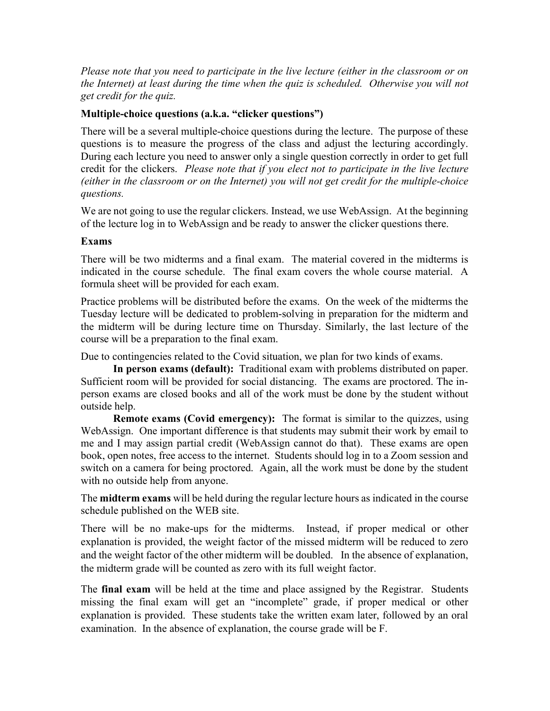Please note that you need to participate in the live lecture (either in the classroom or on the Internet) at least during the time when the quiz is scheduled. Otherwise you will not get credit for the quiz.

### Multiple-choice questions (a.k.a. "clicker questions")

There will be a several multiple-choice questions during the lecture. The purpose of these questions is to measure the progress of the class and adjust the lecturing accordingly. During each lecture you need to answer only a single question correctly in order to get full credit for the clickers. Please note that if you elect not to participate in the live lecture (either in the classroom or on the Internet) you will not get credit for the multiple-choice questions.

We are not going to use the regular clickers. Instead, we use WebAssign. At the beginning of the lecture log in to WebAssign and be ready to answer the clicker questions there.

#### Exams

There will be two midterms and a final exam. The material covered in the midterms is indicated in the course schedule. The final exam covers the whole course material. A formula sheet will be provided for each exam.

Practice problems will be distributed before the exams. On the week of the midterms the Tuesday lecture will be dedicated to problem-solving in preparation for the midterm and the midterm will be during lecture time on Thursday. Similarly, the last lecture of the course will be a preparation to the final exam.

Due to contingencies related to the Covid situation, we plan for two kinds of exams.

In person exams (default): Traditional exam with problems distributed on paper. Sufficient room will be provided for social distancing. The exams are proctored. The inperson exams are closed books and all of the work must be done by the student without outside help.

Remote exams (Covid emergency): The format is similar to the quizzes, using WebAssign. One important difference is that students may submit their work by email to me and I may assign partial credit (WebAssign cannot do that). These exams are open book, open notes, free access to the internet. Students should log in to a Zoom session and switch on a camera for being proctored. Again, all the work must be done by the student with no outside help from anyone.

The **midterm exams** will be held during the regular lecture hours as indicated in the course schedule published on the WEB site.

There will be no make-ups for the midterms. Instead, if proper medical or other explanation is provided, the weight factor of the missed midterm will be reduced to zero and the weight factor of the other midterm will be doubled. In the absence of explanation, the midterm grade will be counted as zero with its full weight factor.

The **final exam** will be held at the time and place assigned by the Registrar. Students missing the final exam will get an "incomplete" grade, if proper medical or other explanation is provided. These students take the written exam later, followed by an oral examination. In the absence of explanation, the course grade will be F.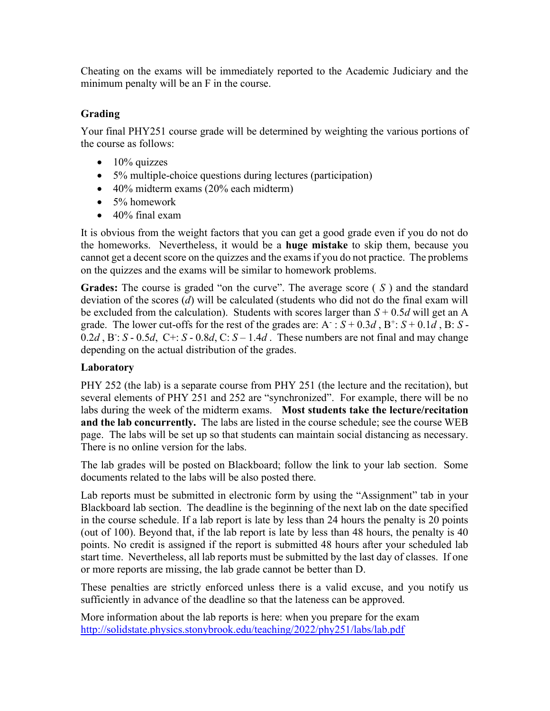Cheating on the exams will be immediately reported to the Academic Judiciary and the minimum penalty will be an F in the course.

# Grading

Your final PHY251 course grade will be determined by weighting the various portions of the course as follows:

- $\bullet$  10% quizzes
- 5% multiple-choice questions during lectures (participation)
- 40% midterm exams (20% each midterm)
- 5% homework
- $\bullet$  40% final exam

It is obvious from the weight factors that you can get a good grade even if you do not do the homeworks. Nevertheless, it would be a huge mistake to skip them, because you cannot get a decent score on the quizzes and the exams if you do not practice. The problems on the quizzes and the exams will be similar to homework problems.

**Grades:** The course is graded "on the curve". The average score  $(S)$  and the standard deviation of the scores (d) will be calculated (students who did not do the final exam will be excluded from the calculation). Students with scores larger than  $S + 0.5d$  will get an A grade. The lower cut-offs for the rest of the grades are:  $A : S + 0.3d, B^{\dagger}: S + 0.1d, B: S$ - $0.2d$ , B: S -  $0.5d$ , C+: S -  $0.8d$ , C: S -  $1.4d$ . These numbers are not final and may change depending on the actual distribution of the grades.

# Laboratory

PHY 252 (the lab) is a separate course from PHY 251 (the lecture and the recitation), but several elements of PHY 251 and 252 are "synchronized". For example, there will be no labs during the week of the midterm exams. Most students take the lecture/recitation and the lab concurrently. The labs are listed in the course schedule; see the course WEB page. The labs will be set up so that students can maintain social distancing as necessary. There is no online version for the labs.

The lab grades will be posted on Blackboard; follow the link to your lab section. Some documents related to the labs will be also posted there.

Lab reports must be submitted in electronic form by using the "Assignment" tab in your Blackboard lab section. The deadline is the beginning of the next lab on the date specified in the course schedule. If a lab report is late by less than 24 hours the penalty is 20 points (out of 100). Beyond that, if the lab report is late by less than 48 hours, the penalty is 40 points. No credit is assigned if the report is submitted 48 hours after your scheduled lab start time. Nevertheless, all lab reports must be submitted by the last day of classes. If one or more reports are missing, the lab grade cannot be better than D.

These penalties are strictly enforced unless there is a valid excuse, and you notify us sufficiently in advance of the deadline so that the lateness can be approved.

More information about the lab reports is here: when you prepare for the exam http://solidstate.physics.stonybrook.edu/teaching/2022/phy251/labs/lab.pdf